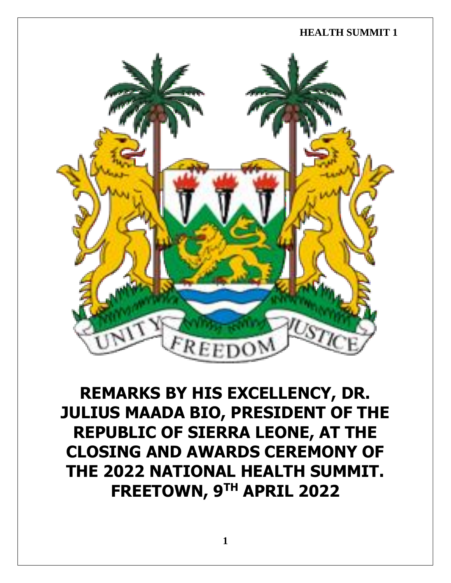

**REMARKS BY HIS EXCELLENCY, DR. JULIUS MAADA BIO, PRESIDENT OF THE REPUBLIC OF SIERRA LEONE, AT THE CLOSING AND AWARDS CEREMONY OF THE 2022 NATIONAL HEALTH SUMMIT. FREETOWN, 9 TH APRIL 2022**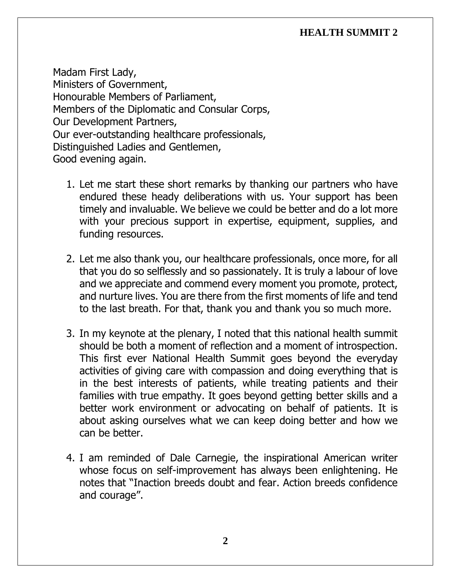Madam First Lady, Ministers of Government, Honourable Members of Parliament, Members of the Diplomatic and Consular Corps, Our Development Partners, Our ever-outstanding healthcare professionals, Distinguished Ladies and Gentlemen, Good evening again.

- 1. Let me start these short remarks by thanking our partners who have endured these heady deliberations with us. Your support has been timely and invaluable. We believe we could be better and do a lot more with your precious support in expertise, equipment, supplies, and funding resources.
- 2. Let me also thank you, our healthcare professionals, once more, for all that you do so selflessly and so passionately. It is truly a labour of love and we appreciate and commend every moment you promote, protect, and nurture lives. You are there from the first moments of life and tend to the last breath. For that, thank you and thank you so much more.
- 3. In my keynote at the plenary, I noted that this national health summit should be both a moment of reflection and a moment of introspection. This first ever National Health Summit goes beyond the everyday activities of giving care with compassion and doing everything that is in the best interests of patients, while treating patients and their families with true empathy. It goes beyond getting better skills and a better work environment or advocating on behalf of patients. It is about asking ourselves what we can keep doing better and how we can be better.
- 4. I am reminded of Dale Carnegie, the inspirational American writer whose focus on self-improvement has always been enlightening. He notes that "Inaction breeds doubt and fear. Action breeds confidence and courage".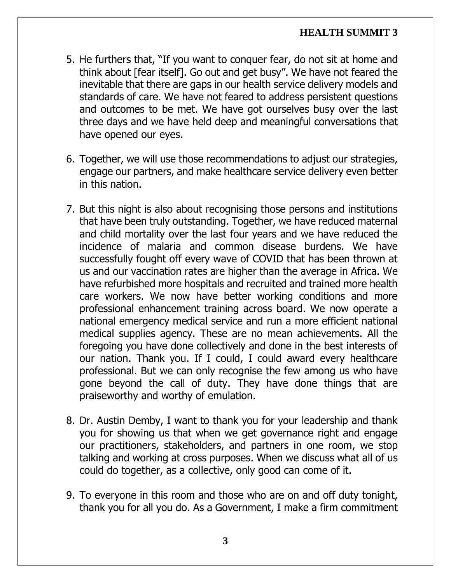- 5. He furthers that, "If you want to conquer fear, do not sit at home and think about [fear itself]. Go out and get busy". We have not feared the inevitable that there are gaps in our health service delivery models and standards of care. We have not feared to address persistent questions and outcomes to be met. We have got ourselves busy over the last three days and we have held deep and meaningful conversations that have opened our eyes.
- 6. Together, we will use those recommendations to adjust our strategies, engage our partners, and make healthcare service delivery even better in this nation.
- 7. But this night is also about recognising those persons and institutions that have been truly outstanding. Together, we have reduced maternal and child mortality over the last four years and we have reduced the incidence of malaria and common disease burdens. We have successfully fought off every wave of COVID that has been thrown at us and our vaccination rates are higher than the average in Africa. We have refurbished more hospitals and recruited and trained more health care workers. We now have better working conditions and more professional enhancement training across board. We now operate a national emergency medical service and run a more efficient national medical supplies agency. These are no mean achievements. All the foregoing you have done collectively and done in the best interests of our nation. Thank you. If I could, I could award every healthcare professional. But we can only recognise the few among us who have gone beyond the call of duty. They have done things that are praiseworthy and worthy of emulation.
- 8. Dr. Austin Demby, I want to thank you for your leadership and thank you for showing us that when we get governance right and engage our practitioners, stakeholders, and partners in one room, we stop talking and working at cross purposes. When we discuss what all of us could do together, as a collective, only good can come of it.
- 9. To everyone in this room and those who are on and off duty tonight, thank you for all you do. As a Government, I make a firm commitment